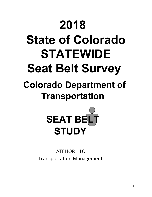# **2018 State of Colorado STATEWIDE Seat Belt Survey**

# **Colorado Department of Transportation**



ATELIOR LLC Transportation Management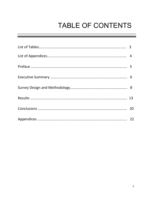# TABLE OF CONTENTS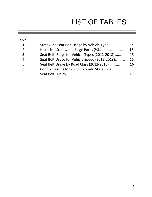# LIST OF TABLES

| Table          |                                               |    |
|----------------|-----------------------------------------------|----|
| $\mathbf{1}$   | Statewide Seat Belt Usage by Vehicle Type     | 7  |
| $\overline{2}$ |                                               | 13 |
| 3              | Seat Belt Usage for Vehicle Types (2012-2018) | 15 |
| 4              | Seat Belt Usage for Vehicle Speed (2012-2018) | 16 |
| 5              | Seat Belt Usage by Road Class (2012-2018)     | 16 |
| 6              | County Results for 2018 Colorado Statewide    |    |
|                |                                               | 18 |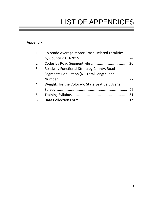# LIST OF APPENDICES

### **Appendix**

| $\mathbf 1$ | <b>Colorado Average Motor Crash-Related Fatalities</b> |    |
|-------------|--------------------------------------------------------|----|
|             |                                                        |    |
| 2           |                                                        |    |
| 3           | Roadway Functional Strata by County, Road              |    |
|             | Segments Population (N), Total Length, and             |    |
|             |                                                        | 27 |
| 4           | Weights for the Colorado State Seat Belt Usage         |    |
|             |                                                        | 29 |
| 5           |                                                        | 31 |
| 6           |                                                        |    |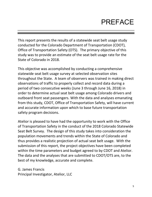# PREFACE

This report presents the results of a statewide seat belt usage study conducted for the Colorado Department of Transportation (CDOT), Office of Transportation Safety (OTS). The primary objective of this study was to provide an estimate of the seat belt usage rate for the State of Colorado in 2018.

This objective was accomplished by conducting a comprehensive statewide seat belt usage survey at selected observation sites throughout the State. A team of observers was trained in making direct observations of traffic to properly collect and record data during a period of two consecutive weeks (June 3 through June 16, 2018) in order to determine actual seat belt usage among Colorado drivers and outboard front seat passengers. With the data and analyses emanating from this study, CDOT, Office of Transportation Safety, will have current and accurate information upon which to base future transportation safety program decisions.

Atelior is pleased to have had the opportunity to work with the Office of Transportation Safety in the conduct of the 2018 Colorado Statewide Seat Belt Survey. The design of this study takes into consideration the population movements and trends within the State of Colorado and thus provides a realistic projection of actual seat belt usage. With the submission of this report, the project objectives have been completed within the time parameters and budget agreed to by CDOT and Atelior. The data and the analyses that are submitted to CDOT/OTS are, to the best of my knowledge, accurate and complete.

G. James Francis Principal Investigator, Atelior, LLC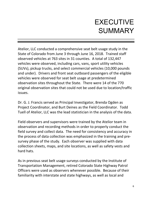# EXECUTIVE **SUMMARY**

Atelior, LLC conducted a comprehensive seat belt usage study in the State of Colorado from June 3 through June 16, 2018. Trained staff observed vehicles at 763 sites in 31 counties. A total of 132,447 vehicles were observed, including cars, vans, sport utility vehicles (SUVs), pickup trucks, and select commercial vehicles (10,000 pounds and under). Drivers and front seat outboard passengers of the eligible vehicles were observed for seat belt usage at predetermined observation sites throughout the State. There were 14 of the 770 original observation sites that could not be used due to location/traffic issues.

Dr. G. J. Francis served as Principal Investigator, Brenda Ogden as Project Coordinator, and Burt Deines as the Field Coordinator. Todd Tuell of Atelior, LLC was the lead statistician in the analysis of the data.

Field observers and supervisors were trained by the Atelior team in observation and recording methods in order to properly conduct the field survey and collect data. The need for consistency and accuracy in the process of data collection was emphasized in the training and presurvey phase of the study. Each observer was supplied with data collection sheets, maps, and site locations, as well as safety vests and hard hats.

As in previous seat belt usage surveys conducted by the Institute of Transportation Management, retired Colorado State Highway Patrol Officers were used as observers whenever possible. Because of their familiarity with interstate and state highways, as well as local and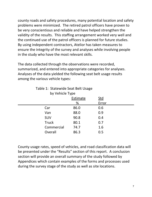county roads and safety procedures, many potential location and safety problems were minimized. The retired patrol officers have proven to be very conscientious and reliable and have helped strengthen the validity of the results. This staffing arrangement worked very well and the continued use of the patrol officers is planned for future studies. By using independent contractors, Atelior has taken measures to ensure the integrity of the survey and analyses while involving people in the study who have the most relevant skills.

The data collected through the observations were recorded, summarized, and entered into appropriate categories for analyses. Analyses of the data yielded the following seat belt usage results among the various vehicle types:

| Table 1: Statewide Seat Belt Usage |                        |       |  |  |  |
|------------------------------------|------------------------|-------|--|--|--|
| by Vehicle Type                    |                        |       |  |  |  |
|                                    | Estimate<br><u>Std</u> |       |  |  |  |
|                                    | %                      | Error |  |  |  |
| Car                                | 86.0                   | 0.6   |  |  |  |
| Van                                | 88.0                   | 0.9   |  |  |  |
| SUV                                | 90.8                   | 0.4   |  |  |  |
| <b>Truck</b>                       | 80.1                   | 0.7   |  |  |  |
| Commercial                         | 74.7                   | 1.6   |  |  |  |
| Overall                            | 86.3                   | 0.5   |  |  |  |
|                                    |                        |       |  |  |  |

Table 1: Statewide Seat Belt Usage

County usage rates, speed of vehicles, and road classification data will be presented under the "Results" section of this report. A conclusion section will provide an overall summary of the study followed by Appendices which contain examples of the forms and processes used during the survey stage of the study as well as site locations.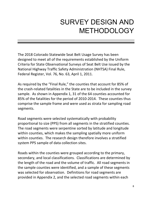# SURVEY DESIGN AND METHODOLOGY

The 2018 Colorado Statewide Seat Belt Usage Survey has been designed to meet all of the requirements established by the Uniform Criteria for State Observational Surveys of Seat Belt Use issued by the National Highway Traffic Safety Administration (NHTSA) Final Rule, Federal Register, Vol. 76, No. 63, April 1, 2011.

As required by the "Final Rule," the counties that account for 85% of the crash-related fatalities in the State are to be included in the survey sample. As shown in Appendix 1, 31 of the 64 counties accounted for 85% of the fatalities for the period of 2010-2014. These counties thus comprise the sample frame and were used as strata for sampling road segments.

Road segments were selected systematically with probability proportional to size (PPS) from all segments in the stratified counties. The road segments were serpentine sorted by latitude and longitude within counties, which makes the sampling spatially more uniform within counties. The research design therefore involves a stratified system PPS sample of data collection sites.

Roads within the counties were grouped according to the primary, secondary, and local classifications. Classifications are determined by the length of the road and the volume of traffic. All road segments in the sample counties were identified, and a sample of these segments was selected for observation. Definitions for road segments are provided in Appendix 2, and the selected road segments within each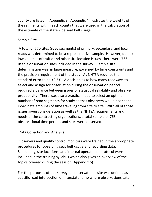county are listed in Appendix 3. Appendix 4 illustrates the weights of the segments within each county that were used in the calculation of the estimate of the statewide seat belt usage.

### Sample Size

A total of 770 sites (road segments) of primary, secondary, and local roads was determined to be a representative sample. However, due to low volumes of traffic and other site location issues, there were 763 usable observation sites included in the survey. Sample size determination was, in large measure, governed by time constraints and the precision requirement of the study. As NHTSA requires the standard error to be <2.5%. A decision as to how many roadways to select and assign for observation during the observation period required a balance between issues of statistical reliability and observer productivity. There was also a practical need to select an optimal number of road segments for study so that observers would not spend inordinate amounts of time traveling from site to site. With all of those issues given consideration as well as the NHTSA requirements and needs of the contracting organizations, a total sample of 763 observational time periods and sites were observed.

### Data Collection and Analysis

Observers and quality control monitors were trained in the appropriate procedures for observing seat belt usage and recording data. Scheduling, site locations, and internal operational protocol were included in the training syllabus which also gives an overview of the topics covered during the session (Appendix 5).

For the purposes of this survey, an observational site was defined as a specific road intersection or interstate ramp where observations take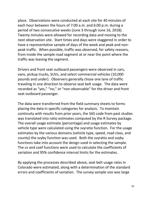place. Observations were conducted at each site for 40 minutes of each hour between the hours of 7:00 a.m. and 6:00 p.m. during a period of two consecutive weeks (June 3 through June 16, 2018). Twenty minutes were allowed for recording data and moving to the next observation site. Start times and days were staggered in order to have a representative sample of days of the week and peak and nonpeak traffic. When possible, traffic was observed, for safety reasons, from inside the sample road segment at or near the point where the traffic was leaving the segment.

Drivers and front seat outboard passengers were observed in cars, vans, pickup trucks, SUVs, and select commercial vehicles (10,000 pounds and under). Observers generally chose one lane of traffic traveling in one direction to observe seat belt usage. The data were recorded as "yes," "no," or "non-observable" for the driver and front seat outboard passenger.

The data were transferred from the field summary sheets to forms placing the data in specific categories for analysis. To maintain continuity with results from prior years, the SAS code from past studies was translated into ratio estimates computed by the R Survey package. The overall usage estimate (percentage) and usage estimates by vehicle type were calculated using the svyratio function. For the usage estimates by the various domains (vehicle type, speed, road class, and county) the svyby function was used. Both the svyratio and svyby functions take into account the design used in selecting the sample. The cv and coef functions were used to calculate the coefficients of variation and 95% confidence interval limits for the estimates.

By applying the processes described above, seat belt usage rates in Colorado were estimated, along with a determination of the standard errors and coefficients of variation. The survey sample size was large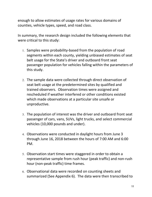enough to allow estimates of usage rates for various domains of counties, vehicle types, speed, and road class.

In summary, the research design included the following elements that were critical to this study:

- 1. Samples were probability-based from the population of road segments within each county, yielding unbiased estimates of seat belt usage for the State's driver and outboard front seat passenger population for vehicles falling within the parameters of this study.
- 2. The sample data were collected through direct observation of seat belt usage at the predetermined sites by qualified and trained observers. Observation times were assigned and rescheduled if weather interfered or other conditions existed which made observations at a particular site unsafe or unproductive.
- 3. The population of interest was the driver and outboard front seat passenger of cars, vans, SUVs, light trucks, and select commercial vehicles (10,000 pounds and under).
- 4. Observations were conducted in daylight hours from June 3 through June 16, 2018 between the hours of 7:00 AM and 6:00 PM.
- 5. Observation start times were staggered in order to obtain a representative sample from rush hour (peak traffic) and non-rush hour (non-peak traffic) time frames.
- 6. Observational data were recorded on counting sheets and summarized (See Appendix 6). The data were then transcribed to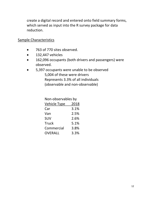create a digital record and entered onto field summary forms, which served as input into the R survey package for data reduction.

### Sample Characteristics

- 763 of 770 sites observed.
- 132,447 vehicles
- 162,096 occupants (both drivers and passengers) were observed.
- 5,397 occupants were unable to be observed 5,004 of these were drivers Represents 3.3% of all individuals (observable and non-observable)

Non-observables by

| <b>Vehicle Type</b> | 2018 |
|---------------------|------|
| Car                 | 3.1% |
| Van                 | 2.5% |
| <b>SUV</b>          | 2.6% |
| <b>Truck</b>        | 5.1% |
| Commercial          | 3.8% |
| <b>OVERALL</b>      | 3.3% |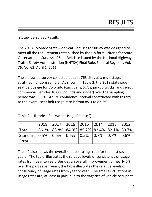### Statewide Survey Results

The 2018 Colorado Statewide Seat Belt Usage Survey was designed to meet all the requirements established by the Uniform Criteria for State Observational Surveys of Seat Belt Use issued by the National Highway Traffic Safety Administration (NHTSA) Final Rule, Federal Register, Vol. 76, No. 63, April 1, 2011.

The statewide survey collected data at 763 sites as a multistage, stratified, random sample. As shown in Table 2, the 2018 statewide seat belt usage for Colorado (cars, vans, SUVs, pickup trucks, and select commercial vehicles 10,000 pounds and under) over the sampling period was 86.3%. A 95% confidence interval constructed with regard to the overall seat belt usage rate is from 85.3 to 87.2%.

|  |  |  | Table 2: Historical Statewide Usage Rates (%) |  |
|--|--|--|-----------------------------------------------|--|
|--|--|--|-----------------------------------------------|--|

|                                                           | 2018   2017   2016   2015   2014   2013   2012        |  |  |  |
|-----------------------------------------------------------|-------------------------------------------------------|--|--|--|
| Total                                                     | 86.3%   83.8%   84.0%   85.2%   82.4%   82.1%   80.7% |  |  |  |
| Standard   0.5%   0.5%   0.6%   0.5%   0.7%   0.7%   0.6% |                                                       |  |  |  |
| Error                                                     |                                                       |  |  |  |

Table 2 also shows the overall seat belt usage rate for the past seven years. The table illustrates the relative levels of consistency of usage rates from year to year. Besides an overall improvement of nearly 6% over the past seven years, the table illustrates the relative levels of consistency of usage rates from year to year. The small fluctuations in usage rates are, at least in part, due to the vagaries of vehicle occupant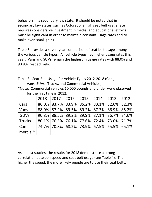behaviors in a secondary law state. It should be noted that in secondary law states, such as Colorado, a high seat belt usage rate requires considerable investment in media, and educational efforts must be significant in order to maintain constant usage rates and to make even small gains.

Table 3 provides a seven-year comparison of seat belt usage among the various vehicle types. All vehicle types had higher usage rates this year. Vans and SUVs remain the highest in usage rates with 88.0% and 90.8%, respectively.

Table 3: Seat Belt Usage for Vehicle Types 2012-2018 (Cars,

Vans, SUVs, Trucks, and Commercial Vehicles)

\*Note: Commercial vehicles 10,000 pounds and under were observed for the first time in 2012.

|             | 2018 | $\vert$ 2017 2016 2015 2014 2013 2012                    |  |  |  |
|-------------|------|----------------------------------------------------------|--|--|--|
| Cars        |      | 86.0% 83.7% 83.9% 85.2% 83.1% 82.6% 82.3%                |  |  |  |
| Vans        |      | 88.0% 87.2% 89.5% 89.2% 87.3% 86.9% 85.2%                |  |  |  |
| <b>SUVs</b> |      | $90.8\%$   88.5%   89.2%   89.9%   87.1%   86.7%   84.6% |  |  |  |
| Trucks      |      | 80.1% 76.5% 76.1% 77.6% 72.4% 73.0% 71.7%                |  |  |  |
| Com-        |      | 74.7% 70.8% 68.2% 73.9% 67.5% 65.5% 65.1%                |  |  |  |
| mercial*    |      |                                                          |  |  |  |

As in past studies, the results for 2018 demonstrate a strong correlation between speed and seat belt usage (see Table 4). The higher the speed, the more likely people are to use their seat belts.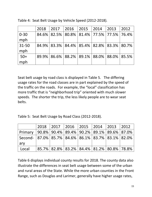|          | 2018 |                                                       | 2017   2016   2015   2014   2013 |  | $ 2012\rangle$ |
|----------|------|-------------------------------------------------------|----------------------------------|--|----------------|
| $0 - 30$ |      | 84.6%   82.5%   80.8%   81.4%   77.5%   77.5%   76.4% |                                  |  |                |
| mph      |      |                                                       |                                  |  |                |
| 31-50    |      | 84.9%   83.3%   84.4%   85.4%   82.8%   83.3%   80.7% |                                  |  |                |
| mph      |      |                                                       |                                  |  |                |
| $50+$    |      | 89.9%   86.6%   88.2%   89.1%   88.0%   88.0%   85.5% |                                  |  |                |
| mph      |      |                                                       |                                  |  |                |

Table 4: Seat Belt Usage by Vehicle Speed (2012-2018)*.*

Seat belt usage by road class is displayed in Table 5. The differing usage rates for the road classes are in part explained by the speed of the traffic on the roads. For example, the "local" classification has more traffic that is "neighborhood trip" oriented with much slower speeds. The shorter the trip, the less likely people are to wear seat belts.

|  |  |  |  |  | Table 5: Seat Belt Usage by Road Class (2012-2018). |
|--|--|--|--|--|-----------------------------------------------------|
|--|--|--|--|--|-----------------------------------------------------|

|                                                                 |  | 2018   2017   2016   2015   2014   2013   2012        |  |  |
|-----------------------------------------------------------------|--|-------------------------------------------------------|--|--|
| Primary   90.8%   90.4%   89.4%   90.2%   89.1%   89.6%   87.0% |  |                                                       |  |  |
| Second-   87.0%   85.7%   84.6%   86.1%   83.7%   83.1%   82.0% |  |                                                       |  |  |
| ary                                                             |  |                                                       |  |  |
| Local                                                           |  | 85.7%   82.8%   83.2%   84.4%   81.2%   80.8%   78.8% |  |  |

Table 6 displays individual county results for 2018. The county data also illustrate the differences in seat belt usage between some of the urban and rural areas of the State. While the more urban counties in the Front Range, such as Douglas and Larimer, generally have higher usage rates,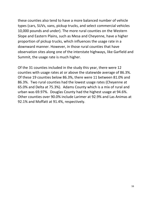these counties also tend to have a more balanced number of vehicle types (cars, SUVs, vans, pickup trucks, and select commercial vehicles 10,000 pounds and under). The more rural counties on the Western Slope and Eastern Plains, such as Mesa and Cheyenne, have a higher proportion of pickup trucks, which influences the usage rate in a downward manner. However, in those rural counties that have observation sites along one of the interstate highways, like Garfield and Summit, the usage rate is much higher.

Of the 31 counties included in the study this year, there were 12 counties with usage rates at or above the statewide average of 86.3%. Of these 19 counties below 86.3%, there were 11 between 81.0% and 86.3%. Two rural counties had the lowest usage rates (Cheyenne at 65.0% and Delta at 75.3%). Adams County which is a mix of rural and urban was 69.97%. Douglas County had the highest usage at 94.6%. Other counties over 90.0% include Larimer at 92.9% and Las Animas at 92.1% and Moffatt at 91.4%, respectively.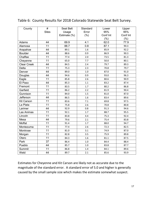| $\#$<br>County     |              | <b>Seat Belt</b> | Standard | Lower    | Upper    |
|--------------------|--------------|------------------|----------|----------|----------|
|                    | <b>Sites</b> | Usage            | Error    | 95%      | 95%      |
|                    |              | Estimate (%)     | (% )     | Conf Int | Conf Int |
|                    |              |                  |          | (%)      | (% )     |
| Adams              | 44           | 69.9             | 4.1      | 62.0     | 77.9     |
| Alamosa            | 11           | 88.7             | 0.8      | 87.1     | 90.3     |
| Arapahoe           | 44           | 89.1             | 1.6      | 85.9     | 92.2     |
| <b>Boulder</b>     | 44           | 88.6             | 0.9      | 86.9     | 90.3     |
| Chaffee            | 11           | 77.4             | 2.0      | 73.5     | 81.3     |
| Cheyenne           | 11           | 65.0             | 7.7      | 50.0     | 80.1     |
| <b>Clear Creek</b> | 44           | 84.5             | 2.4      | 79.7     | 89.3     |
| <b>Delta</b>       | 11           | 75.3             | 2.3      | 70.8     | 79.7     |
| Denver             | 44           | 89.0             | 1.0      | 87.0     | 91.0     |
| Douglas            | 44           | 94.6             | 0.9      | 93.0     | 96.3     |
| Eagle              | 11           | 85.8             | 2.6      | 80.6     | 90.9     |
| El Paso            | 44           | 85.3             | 1.1      | 83.2     | 87.4     |
| Fremont            | 11           | 83.5             | 1.7      | 80.2     | 86.8     |
| Garfield           | 11           | 86.2             | 2.2      | 81.9     | 90.4     |
| Gunnison           | 11           | 84.0             | 1.5      | 81.0     | 87.0     |
| Jefferson          | 44           | 86.5             | 1.6      | 83.4     | 89.6     |
| <b>Kit Carson</b>  | 11           | 83.6             | 7.1      | 69.8     | 97.5     |
| La Plata           | 11           | 75.8             | 2.6      | 70.8     | 80.8     |
| Larimer            | 44           | 92.9             | 0.8      | 91.3     | 94.6     |
| Las Animas         | 11           | 92.1             | 1.7      | 88.7     | 95.5     |
| Lincoln            | 11           | 83.8             | 4.4      | 75.3     | 92.4     |
| Mesa               | 44           | 79.6             | 2.1      | 75.4     | 83.8     |
| Moffat             | 11           | 91.4             | 1.7      | 88.0     | 94.7     |
| Montezuma          | 11           | 77.4             | 2.6      | 72.3     | 82.5     |
| Montrose           | 11           | 81.0             | 3.1      | 74.9     | 87.0     |
| Morgan             | 11           | 82.8             | 3.5      | 75.9     | 89.8     |
| Otero              | 11           | 84.3             | 1.6      | 81.1     | 87.5     |
| Park               | 37           | 86.4             | $1.0\,$  | 84.4     | 88.4     |
| Pueblo             | 44           | 85.7             | 1.0      | 83.8     | 87.7     |
| Summit             | 11           | 86.8             | 1.4      | 84.1     | 89.6     |
| Weld               | 44           | 89.7             | 2.1      | 85.6     | 93.9     |

### Table 6: County Results for 2018 Colorado Statewide Seat Belt Survey.

Estimates for Cheyenne and Kit Carson are likely not as accurate due to the magnitude of the standard error. A standard error of 5.0 and higher is generally caused by the small sample size which makes the estimate somewhat suspect.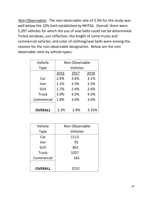Non-Observables: The non-observable rate of 3.3% for the study was well below the 10% limit established by NHTSA. Overall, there were 5,397 vehicles for which the use of seat belts could not be determined. Tinted windows, sun reflection, the height of some trucks and commercial vehicles, and color of clothing/seat belts were among the reasons for the non-observable designation. Below are the nonobservable rates by vehicle types:

| Vehicle        | Non-Observable |      |       |  |  |  |  |  |  |  |
|----------------|----------------|------|-------|--|--|--|--|--|--|--|
| <b>Type</b>    | Vehicles       |      |       |  |  |  |  |  |  |  |
|                | 2016           | 2017 | 2018  |  |  |  |  |  |  |  |
| Car            | 2.4%           | 2.6% | 3.1%  |  |  |  |  |  |  |  |
| Van            | 1.1%           | 2.3% | 2.3%  |  |  |  |  |  |  |  |
| <b>SUV</b>     | 1.7%           | 2.4% | 2.6%  |  |  |  |  |  |  |  |
| <b>Truck</b>   | 3.9%           | 4.5% | 4.5%  |  |  |  |  |  |  |  |
| Commercial     | 1.8%           | 3.6% |       |  |  |  |  |  |  |  |
|                |                |      |       |  |  |  |  |  |  |  |
| <b>OVERALL</b> | 2.3%           | 2.9% | 3.33% |  |  |  |  |  |  |  |

| Vehicle        | Non-Observable  |  |  |  |  |
|----------------|-----------------|--|--|--|--|
| <b>Type</b>    | <b>Vehicles</b> |  |  |  |  |
| Car            | 1113            |  |  |  |  |
| Van            | 95              |  |  |  |  |
| <b>SUV</b>     | 801             |  |  |  |  |
| <b>Truck</b>   | 1057            |  |  |  |  |
| Commercial     | 165             |  |  |  |  |
|                |                 |  |  |  |  |
| <b>OVERALL</b> | 3231            |  |  |  |  |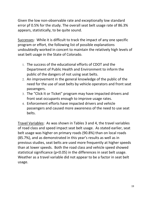Given the low non-observable rate and exceptionally low standard error pf 0.5% for the study. The overall seat belt usage rate of 86.3% appears, statistically, to be quite sound.

Successes: While it is difficult to track the impact of any one specific program or effort, the following list of possible explanations undoubtedly worked in concert to maintain the relatively high levels of seat belt usage in the State of Colorado.

- 1. The success of the educational efforts of CDOT and the Department of Public Health and Environment to inform the public of the dangers of not using seat belts.
- 2. An improvement in the general knowledge of the public of the need for the use of seat belts by vehicle operators and front seat passengers.
- 3. The "Click It or Ticket" program may have impacted drivers and front seat occupants enough to improve usage rates.
- 4. Enforcement efforts have impacted drivers and vehicle passengers and caused more awareness of the need to use seat belts.

Travel Variables: As was shown in Tables 3 and 4, the travel variables of road class and speed impact seat belt usage. As stated earlier, seat belt usage was higher on primary roads (90.8%) than on local roads (85.7%), and as demonstrated in this year's results as well as in previous studies, seat belts are used more frequently at higher speeds than at lower speeds. Both the road class and vehicle speed showed statistical significance (p<0.05) in the differences in seat belt usage. Weather as a travel variable did not appear to be a factor in seat belt usage.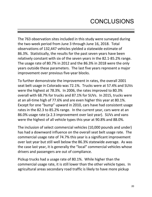The 763 observation sites included in this study were surveyed during the two-week period from June 3 through June 16, 2018. Total observations of 132,447 vehicles yielded a statewide estimate of 86.3%. Statistically, the results for the past seven years have been relatively constant with six of the seven years in the 82.1-85.2% range. The usage rate of 80.7% in 2012 and the 86.3% in 2018 were the only years outside these parameters. The last five years represent a major improvement over previous five-year blocks.

To further demonstrate the improvement in rates, the overall 2001 seat belt usage in Colorado was 72.1%. Trucks were at 57.4% and SUVs were the highest at 78.3%. In 2006, the rates improved to 80.3% overall with 68.7% for trucks and 87.1% for SUVs. In 2015, trucks were at an all-time high of 77.6% and are even higher this year at 80.1%. Except for one "bump" upward in 2010, cars have had consistent usage rates in the 82.3 to 85.2% range. In the current year, cars were at an 86.0% usage rate (a 2.3 improvement over last year). SUVs and vans were the highest of all vehicle types this year at 90.8% and 88.0%.

The inclusion of select commercial vehicles (10,000 pounds and under) has had a downward influence on the overall seat belt usage rate. The commercial usage rate of 74.7% this year is a significant improvement over last year but still well below the 86.3% statewide average. As was the case last year, it is generally the "local" commercial vehicles whose drivers and passengers are out of compliance.

Pickup trucks had a usage rate of 80.1%. While higher than the commercial usage rate, it is still lower than the other vehicle types. In agricultural areas secondary road traffic is likely to have more pickup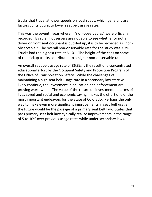trucks that travel at lower speeds on local roads, which generally are factors contributing to lower seat belt usage rates.

This was the seventh year wherein "non-observables" were officially recorded. By rule, if observers are not able to see whether or not a driver or front seat occupant is buckled up, it is to be recorded as "nonobservable." The overall non-observable rate for the study was 3.3%. Trucks had the highest rate at 5.1%. The height of the cabs on some of the pickup trucks contributed to a higher non-observable rate.

An overall seat belt usage rate of 86.3% is the result of a concentrated educational effort by the Occupant Safety and Protection Program of the Office of Transportation Safety. While the challenges of maintaining a high seat belt usage rate in a secondary law state will likely continue, the investment in education and enforcement are proving worthwhile. The value of the return on investment, in terms of lives saved and social and economic saving, makes the effort one of the most important endeavors for the State of Colorado. Perhaps the only way to make even more significant improvements in seat belt usage in the future would be the passage of a primary seat belt law. States that pass primary seat belt laws typically realize improvements in the range of 5 to 10% over previous usage rates while under secondary laws.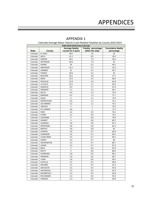|  | <b>APPENDIX 1</b> |  |  |
|--|-------------------|--|--|
|--|-------------------|--|--|

|              | Colorado Average Motor Vehicle Crash-Related Fatalities by County 2010-2014                                     |                    |                  |            |  |  |  |  |  |  |
|--------------|-----------------------------------------------------------------------------------------------------------------|--------------------|------------------|------------|--|--|--|--|--|--|
|              | FARS (2010-2014) State=Colorado<br><b>Average fatality</b><br>Fatality percentage<br><b>Cumulative fatality</b> |                    |                  |            |  |  |  |  |  |  |
| <b>State</b> | County                                                                                                          | counts for 5 years | within the state | percentage |  |  |  |  |  |  |
| Colorado     | <b>EL PASO</b>                                                                                                  | 48.6               | 10               | 10         |  |  |  |  |  |  |
| Colorado     | WELD                                                                                                            | 41.2               | 8.5              | 18.5       |  |  |  |  |  |  |
| Colorado     | <b>DENVER</b>                                                                                                   | 38.2               | 7.9              | 26.4       |  |  |  |  |  |  |
| Colorado     | <b>JEFFERSON</b>                                                                                                | 36.8               | 7.6              | 34         |  |  |  |  |  |  |
| Colorado     | <b>ADAMS</b>                                                                                                    | 30                 | 6.2              | 40.2       |  |  |  |  |  |  |
| Colorado     | ARAPAHOE                                                                                                        | 25.2               | 5.2              | 45.4       |  |  |  |  |  |  |
| Colorado     | LARIMER                                                                                                         | 21                 | 4.3              | 49.7       |  |  |  |  |  |  |
| Colorado     | PUEBLO                                                                                                          | 20.6               | 4.2              | 54         |  |  |  |  |  |  |
| Colorado     | <b>BOULDER</b>                                                                                                  | 18.2               | 3.8              | 57.7       |  |  |  |  |  |  |
| Colorado     | <b>MESA</b>                                                                                                     | 15.6               | 3.2              | 60.9       |  |  |  |  |  |  |
| Colorado     | <b>DOUGLAS</b>                                                                                                  | 13.8               | 2.8              | 63.8       |  |  |  |  |  |  |
| Colorado     | LA PLATA                                                                                                        | 10.2               | 2.1              | 65.9       |  |  |  |  |  |  |
| Colorado     | GARFIELD                                                                                                        | 8.4                | 1.7              | 67.6       |  |  |  |  |  |  |
| Colorado     | <b>FREMONT</b>                                                                                                  | 7.2                | 1.5              | 69.1       |  |  |  |  |  |  |
| Colorado     | <b>DELTA</b>                                                                                                    | 6.4                | 1.3              | 70.4       |  |  |  |  |  |  |
| Colorado     | <b>MORGAN</b>                                                                                                   | 6.2                | 1.3              | 71.7       |  |  |  |  |  |  |
| Colorado     | <b>EAGLE</b>                                                                                                    | 6                  | 1.2              | 72.9       |  |  |  |  |  |  |
| Colorado     | <b>MONTEZUMA</b>                                                                                                | 5.8                | 1.2              | 74.1       |  |  |  |  |  |  |
| Colorado     | <b>LAS ANIMAS</b>                                                                                               | 5.2                | 1.1              | 75.2       |  |  |  |  |  |  |
| Colorado     | LINCOLN                                                                                                         | 5                  | $\mathbf 1$      | 76.3       |  |  |  |  |  |  |
| Colorado     | <b>KIT CARSON</b>                                                                                               | 4.8                | $\mathbf{1}$     | 77.2       |  |  |  |  |  |  |
| Colorado     | <b>PARK</b>                                                                                                     | 4.6                | 0.9              | 78.2       |  |  |  |  |  |  |
| Colorado     | <b>OTERO</b>                                                                                                    | 4.2                | 0.9              | 79.1       |  |  |  |  |  |  |
| Colorado     | CHEYENNE                                                                                                        | 4                  | 0.8              | 79.9       |  |  |  |  |  |  |
| Colorado     | <b>SUMMIT</b>                                                                                                   | 4                  | 0.8              | 80.7       |  |  |  |  |  |  |
| Colorado     | <b>ALAMOSA</b>                                                                                                  | 3.8                | 0.8              | 81.5       |  |  |  |  |  |  |
| Colorado     | <b>MONTROSE</b>                                                                                                 | 3.8                | 0.8              | 82.3       |  |  |  |  |  |  |
| Colorado     | <b>MOFFAT</b>                                                                                                   | 3.8                | 0.8              | 83         |  |  |  |  |  |  |
| Colorado     | <b>CHAFFEE</b>                                                                                                  | 3.6                | 0.7              | 83.8       |  |  |  |  |  |  |
| Colorado     | <b>GUNNISON</b>                                                                                                 | 3.6                | 0.7              | 84.5       |  |  |  |  |  |  |
| Colorado     | <b>CLEAR CREEK</b>                                                                                              | 3.5                | 0.7              | 85.3       |  |  |  |  |  |  |
| Colorado     | <b>ELBERT</b>                                                                                                   | 3.4                | 0.7              | 86         |  |  |  |  |  |  |
| Colorado     | <b>WASHINGTON</b>                                                                                               | 3.4                | 0.7              | 86.7       |  |  |  |  |  |  |
| Colorado     | LOGAN                                                                                                           | 3.2                | 0.7              | 87.3       |  |  |  |  |  |  |
| Colorado     | <b>BACA</b>                                                                                                     | 3                  | 0.6              | 87.9       |  |  |  |  |  |  |
| Colorado     | ROUTT                                                                                                           | 3                  | 0.6              | 88.6       |  |  |  |  |  |  |
| Colorado     | HUERFANO                                                                                                        | 2.8                | 0.6              | 89.1       |  |  |  |  |  |  |
| Colorado     | <b>PROWERS</b>                                                                                                  | 2.8                | 0.6              | 89.7       |  |  |  |  |  |  |
| Colorado     | YUMA                                                                                                            | 2.8                | 0.6              | 90.3       |  |  |  |  |  |  |
| Colorado     | COSTILLA                                                                                                        | 2.5                | 0.5              | 90.8       |  |  |  |  |  |  |
| Colorado     | <b>DOLORES</b>                                                                                                  | 2.5                | 0.5              | 91.3       |  |  |  |  |  |  |
| Colorado     | SAGUACHE                                                                                                        | 2.5                | 0.5              | 91.8       |  |  |  |  |  |  |
| Colorado     | <b>SAN MIGUEL</b>                                                                                               | 2.5                | 0.5              | 92.4       |  |  |  |  |  |  |
| Colorado     | <b>BLOOMFIELD</b>                                                                                               | 2.4                | 0.5              | 92.8       |  |  |  |  |  |  |
| Colorado     | RIO GRANDE                                                                                                      | 2.4                | 0.5              | 93.3       |  |  |  |  |  |  |
| Colorado     | CONEJOS                                                                                                         | 2.3                | 0.5              | 93.8       |  |  |  |  |  |  |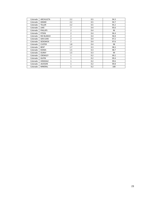| Colorado | <b>ARCHULETA</b> | 2.2            | 0.5 | 94.3 |
|----------|------------------|----------------|-----|------|
| Colorado | <b>GRAND</b>     | 2.2            | 0.5 | 94.7 |
| Colorado | <b>TELLER</b>    | 2.2            | 0.5 | 95.2 |
| Colorado | <b>LAKE</b>      | $\overline{2}$ | 0.4 | 95.6 |
| Colorado | <b>PHILLIPS</b>  | $\overline{2}$ | 0.4 | 96   |
| Colorado | <b>PITKIN</b>    | $\overline{2}$ | 0.4 | 96.4 |
| Colorado | RIO BLANCO       | $\overline{2}$ | 0.4 | 96.8 |
| Colorado | <b>SAN JUAN</b>  | $\overline{2}$ | 0.4 | 97.2 |
| Colorado | <b>SEDGWICK</b>  | $\overline{2}$ | 0.4 | 97.6 |
| Colorado | <b>CUSTER</b>    | 1.8            | 0.4 | 98   |
| Colorado | <b>BENT</b>      | 1.7            | 0.3 | 98.3 |
| Colorado | <b>KIOWA</b>     | 1.5            | 0.3 | 98.7 |
| Colorado | <b>OURAY</b>     | 1.5            | 0.3 | 99   |
| Colorado | <b>CROWLEY</b>   | $\mathbf{1}$   | 0.2 | 99.2 |
| Colorado | <b>GILPIN</b>    | $\mathbf{1}$   | 0.2 | 99.4 |
| Colorado | <b>HINSDALE</b>  | $\mathbf{1}$   | 0.2 | 99.6 |
| Colorado | <b>JACKSON</b>   | $\mathbf{1}$   | 0.2 | 99.8 |
| Colorado | <b>MINERAL</b>   | $\mathbf{1}$   | 0.2 | 100  |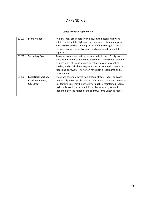#### **Codes for Road Segment File**

| S1100             | Primary Road                                           | Primary roads are generally divided, limited-access highways<br>within the interstate highway system or under state management,<br>and are distinguished by the presence of interchanges. These<br>highways are accessible by ramps and may include some toll<br>highways.                                                                            |
|-------------------|--------------------------------------------------------|-------------------------------------------------------------------------------------------------------------------------------------------------------------------------------------------------------------------------------------------------------------------------------------------------------------------------------------------------------|
| S <sub>1200</sub> | Secondary Road                                         | Secondary roads are main arteries, usually in the U.S. Highway,<br>State Highway or County Highway system. These roads have one<br>or more lanes of traffic in each direction, may or may not be<br>divided, and usually have at-grade intersections with many other<br>roads and driveways. They often have both a local name and a<br>route number. |
| S1400             | Local Neighborhood<br>Road, Rural Road,<br>City Street | These are generally paved non-arterial streets, roads, or byways<br>that usually have a single lane of traffic in each direction. Roads in<br>this feature class may be privately or publicly maintained. Scenic<br>park roads would be included in this feature class, as would<br>(depending on the region of the country) some unpaved roads.      |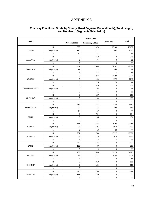| County                  |             | Primary: S1100      | Secondary: S1200 | <b>Local: S1400</b> | <b>Total</b> |
|-------------------------|-------------|---------------------|------------------|---------------------|--------------|
|                         | ${\sf N}$   | 895                 | 1574             | 27168               | 29637        |
| ADAMS                   | Length (mi) | 130                 | 177              | 2945                | 3252         |
|                         | n           | 10                  | 17               | 17                  | 44           |
|                         | N           | 0                   | 319              | $\mathbf 0$         | 319          |
| <b>ALAMOSA</b>          | Length (mi) | 0                   | 95               | 0                   | 95           |
|                         | n           | $\mathbf 0$         | 11               | 0                   | 11           |
|                         | ${\sf N}$   | 351                 | 1008             | 28185               | 29544        |
| ARAPAHOE                | Length (mi) | 83                  | 113              | 2560                | 2756         |
|                         | n           | 5                   | 16               | 23                  | 44           |
|                         | ${\sf N}$   | 0                   | 1943             | 21288               | 23231        |
| <b>BOULDER</b>          | Length (mi) | 0                   | 243              | 1975                | 2218         |
|                         | n           | 0                   | 26               | 18                  | 44           |
|                         | N           | 0                   | 520              | 0                   | 520          |
| <b>CAPPENDIX HAFFEE</b> | Length (mi) | 0                   | 96               | 0                   | 96           |
|                         | n           | 0                   | 11               | $\mathbf 0$         | 11           |
|                         | ${\sf N}$   | 0                   | 267              | 0                   | 267          |
| CHEYENNE                | Length (mi) | $\pmb{0}$           | 133              | 0                   | 133          |
|                         | n           | 0                   | 11               | 0                   | 11           |
|                         | N           | 284                 | 278              | 2780                | 3342         |
| <b>CLEAR CREEK</b>      | Length (mi) | 66                  | 65               | 409                 | 540          |
|                         | n           | 17                  | 19               | 8                   | 44           |
|                         | ${\sf N}$   | 0                   | 734              | 0                   | 734          |
| <b>DELTA</b>            | Length (mi) | 0                   | 136              | $\pmb{0}$           | 136          |
|                         | n           | 0                   | 11               | 0                   | 11           |
|                         | ${\sf N}$   | 636                 | 1226             | 25194               | 27056        |
| <b>DENVER</b>           | Length (mi) | 62                  | 101              | 1940                | 2103         |
|                         | n           | 8                   | 18               | 18                  | 44           |
|                         | N           | 231                 | 744              | 17995               | 18970        |
| <b>DOUGLAS</b>          | Length (mi) | 63                  | 129              | 2070                | 2262         |
|                         | n           | 6                   | 15               | 23                  | 44           |
|                         | N           | 479                 | 533              | $\pmb{0}$           | 1012         |
| EAGLE                   | Length (mi) | 120                 | 87               | 0                   | 207          |
|                         | n           | 6                   | 5                | 0                   | 11           |
|                         | N           | 409                 | 1498             | 52918               | 54825        |
| EL PASO                 | Length (mi) | 94                  | 227              | 4788                | 5109         |
|                         | n           | 5                   | 14               | 25                  | 44           |
|                         | ${\sf N}$   | 0                   | 810              | 0                   | 810          |
| <b>FREMONT</b>          | Length (mi) | $\mathsf{O}\xspace$ | 165              | $\mathsf 0$         | 165          |
|                         | n           | 0                   | 11               | $\mathsf 0$         | 11           |
|                         | ${\sf N}$   | 490                 | 799              | 0                   | 1289         |
| GARFIELD                | Length (mi) | 131                 | 140              | 0                   | 271          |
|                         | n           | $\overline{a}$      | $\overline{7}$   | $\mathsf{O}\xspace$ | 11           |

#### **Roadway Functional Strata by County, Road Segment Population (N), Total Length, and Number of Segments Selected (n)**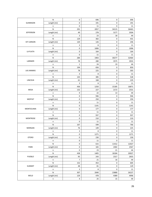|                   | ${\sf N}$   | $\pmb{0}$    | 696                                                                                                                                                                                                                                                                                                                                                                                                                                                       | 0     | 696   |
|-------------------|-------------|--------------|-----------------------------------------------------------------------------------------------------------------------------------------------------------------------------------------------------------------------------------------------------------------------------------------------------------------------------------------------------------------------------------------------------------------------------------------------------------|-------|-------|
| <b>GUNNISON</b>   | Length (mi) | 0            | 191                                                                                                                                                                                                                                                                                                                                                                                                                                                       | 0     | 191   |
|                   | n           | $\mathbf 0$  | 11                                                                                                                                                                                                                                                                                                                                                                                                                                                        | 0     | 11    |
|                   | N           | 291          | 2057                                                                                                                                                                                                                                                                                                                                                                                                                                                      | 34115 | 36463 |
| <b>JEFFERSON</b>  | Length (mi) | 49           | 278                                                                                                                                                                                                                                                                                                                                                                                                                                                       | 3177  | 3504  |
|                   | n           | 3            | 23                                                                                                                                                                                                                                                                                                                                                                                                                                                        | 18    | 44    |
|                   | ${\sf N}$   | 129          | 302                                                                                                                                                                                                                                                                                                                                                                                                                                                       | 0     | 431   |
| <b>KIT CARSON</b> | Length (mi) | 120          | 126                                                                                                                                                                                                                                                                                                                                                                                                                                                       | 0     | 246   |
|                   | n           | 3            | 8                                                                                                                                                                                                                                                                                                                                                                                                                                                         | 0     | 11    |
|                   | ${\sf N}$   | $\mathsf 0$  | 1006                                                                                                                                                                                                                                                                                                                                                                                                                                                      | 0     | 1006  |
| LA PLATA          | Length (mi) | 0            | 164                                                                                                                                                                                                                                                                                                                                                                                                                                                       | 0     | 164   |
|                   | n           | $\mathbf 0$  | 11                                                                                                                                                                                                                                                                                                                                                                                                                                                        | 0     | 11    |
|                   | ${\sf N}$   | 284          | 1903                                                                                                                                                                                                                                                                                                                                                                                                                                                      | 30277 | 32464 |
| LARIMER           | Length (mi) | 78           | 280                                                                                                                                                                                                                                                                                                                                                                                                                                                       | 3575  | 3933  |
|                   | n           | $\mathbf{1}$ | 24                                                                                                                                                                                                                                                                                                                                                                                                                                                        | 19    | 44    |
|                   | N           | 194          | 656                                                                                                                                                                                                                                                                                                                                                                                                                                                       | 0     | 850   |
| <b>LAS ANIMAS</b> | Length (mi) | 78           | 225                                                                                                                                                                                                                                                                                                                                                                                                                                                       | 0     | 303   |
|                   | n           | $\mathsf 3$  | 8                                                                                                                                                                                                                                                                                                                                                                                                                                                         | 0     | 11    |
|                   | ${\sf N}$   | 143          | 385                                                                                                                                                                                                                                                                                                                                                                                                                                                       | 0     | 528   |
| LINCOLN           | Length (mi) | 61           | 168                                                                                                                                                                                                                                                                                                                                                                                                                                                       | 0     | 229   |
|                   | n           | 3            | 8                                                                                                                                                                                                                                                                                                                                                                                                                                                         | 0     | 11    |
|                   | ${\sf N}$   | 436          | 1250                                                                                                                                                                                                                                                                                                                                                                                                                                                      | 15185 | 16871 |
| <b>MESA</b>       | Length (mi) | 132          | 227                                                                                                                                                                                                                                                                                                                                                                                                                                                       | 2172  | 2531  |
|                   | n           | 9            | 22                                                                                                                                                                                                                                                                                                                                                                                                                                                        | 13    | 44    |
|                   | N           | $\mathsf 0$  | 946                                                                                                                                                                                                                                                                                                                                                                                                                                                       | 0     | 946   |
| <b>MOFFAT</b>     | Length (mi) | 0            | 250                                                                                                                                                                                                                                                                                                                                                                                                                                                       | 0     | 250   |
|                   | n           | 0            | 11                                                                                                                                                                                                                                                                                                                                                                                                                                                        | 0     | 11    |
|                   | ${\sf N}$   | 0            | 1141                                                                                                                                                                                                                                                                                                                                                                                                                                                      | 0     | 1141  |
| MONTEZUMA         | Length (mi) | $\pmb{0}$    | 177                                                                                                                                                                                                                                                                                                                                                                                                                                                       | 0     | 177   |
|                   | n           | 0            | 11                                                                                                                                                                                                                                                                                                                                                                                                                                                        | 0     | 11    |
|                   | ${\sf N}$   | 0            | 937                                                                                                                                                                                                                                                                                                                                                                                                                                                       | 0     | 937   |
| <b>MONTROSE</b>   | Length (mi) | 0            | 210                                                                                                                                                                                                                                                                                                                                                                                                                                                       | 0     | 210   |
|                   | n           | $\pmb{0}$    | 0<br>11<br>599<br>167<br>0<br>$\mathsf 0$<br>76<br>149<br>$\mathbf{3}$<br>8<br>0<br>$\pmb{0}$<br>1271<br>0<br>$\pmb{0}$<br>230<br>0<br>$\pmb{0}$<br>11<br>0<br>$\mathsf 0$<br>615<br>11412<br>$\pmb{0}$<br>165<br>2402<br>$\pmb{0}$<br>23<br>21<br>438<br>1405<br>18184<br>95<br>243<br>2317<br>$\boldsymbol{7}$<br>21<br>16<br>152<br>453<br>0<br>48<br>81<br>0<br>$\mathbf{3}$<br>8<br>0<br>307<br>2040<br>23880<br>129<br>478<br>4389<br>25<br>15<br>4 | 11    |       |
|                   | N           |              |                                                                                                                                                                                                                                                                                                                                                                                                                                                           |       | 766   |
| <b>MORGAN</b>     | Length (mi) |              |                                                                                                                                                                                                                                                                                                                                                                                                                                                           |       | 225   |
|                   | n           |              |                                                                                                                                                                                                                                                                                                                                                                                                                                                           |       | 11    |
|                   | ${\sf N}$   |              |                                                                                                                                                                                                                                                                                                                                                                                                                                                           |       | 1271  |
| <b>OTERO</b>      | Length (mi) |              |                                                                                                                                                                                                                                                                                                                                                                                                                                                           |       | 230   |
|                   | $\sf n$     |              |                                                                                                                                                                                                                                                                                                                                                                                                                                                           |       | 11    |
|                   | ${\sf N}$   |              |                                                                                                                                                                                                                                                                                                                                                                                                                                                           |       | 12027 |
| PARK              | Length (mi) |              |                                                                                                                                                                                                                                                                                                                                                                                                                                                           |       | 2567  |
|                   | n           |              |                                                                                                                                                                                                                                                                                                                                                                                                                                                           |       | 44    |
|                   | ${\sf N}$   |              |                                                                                                                                                                                                                                                                                                                                                                                                                                                           |       | 20027 |
| PUEBLO            | Length (mi) |              |                                                                                                                                                                                                                                                                                                                                                                                                                                                           |       | 2655  |
|                   | $\sf n$     |              |                                                                                                                                                                                                                                                                                                                                                                                                                                                           |       | 44    |
|                   | ${\sf N}$   |              |                                                                                                                                                                                                                                                                                                                                                                                                                                                           |       | 605   |
| <b>SUMMIT</b>     | Length (mi) |              |                                                                                                                                                                                                                                                                                                                                                                                                                                                           |       | 129   |
|                   | n           |              |                                                                                                                                                                                                                                                                                                                                                                                                                                                           |       | 11    |
|                   | ${\sf N}$   |              |                                                                                                                                                                                                                                                                                                                                                                                                                                                           |       | 26227 |
| WELD              | Length (mi) |              |                                                                                                                                                                                                                                                                                                                                                                                                                                                           |       | 4996  |
|                   | n           |              |                                                                                                                                                                                                                                                                                                                                                                                                                                                           |       | 44    |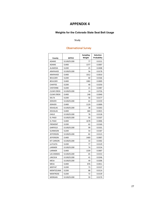#### **Weights for the Colorado State Seat Belt Usage**

#### Study

#### Observational Survey

| County             | MTFCC       | <b>Sampling</b><br>Weight | <b>Selection</b><br>Probability |
|--------------------|-------------|---------------------------|---------------------------------|
| <b>ADAMS</b>       | S1100/S1200 | 77                        | 0.0131                          |
| <b>ADAMS</b>       | S1400       | 1377                      | 0.0007                          |
| <b>ALAMOSA</b>     | S1200       | 25                        | 0.0408                          |
| ARAPAHOE           | S1100/S1200 | 56                        | 0.0178                          |
| ARAPAHOE           | S1400       | 1012                      | 0.0010                          |
| <b>BOULDER</b>     | S1200       | 60                        | 0.0166                          |
| <b>BOULDER</b>     | S1400       | 1082                      | 0.0009                          |
| CHAFFEE            | S1200       | 40                        | 0.0250                          |
| <b>CHEYENNE</b>    | S1200       | 21                        | 0.0487                          |
| <b>CLEAR CREEK</b> | S1100/S1200 | 14                        | 0.0726                          |
| <b>CLEAR CREEK</b> | S1400       | 248                       | 0.0040                          |
| <b>DELTA</b>       | S1200       | 56                        | 0.0177                          |
| <b>DENVER</b>      | S1100/S1200 | 63                        | 0.0159                          |
| <b>DENVER</b>      | S1400       | 1129                      | 0.0009                          |
| <b>DOUGLAS</b>     | S1100/S1200 | 38                        | 0.0263                          |
| <b>DOUGLAS</b>     | S1400       | 684                       | 0.0015                          |
| EAGLE              | S1100/S1200 | 78                        | 0.0128                          |
| EL PASO            | S1100/S1200 | 93                        | 0.0107                          |
| EL PASO            | S1400       | 1678                      | 0.0006                          |
| <b>FREMONT</b>     | S1200       | 62                        | 0.0160                          |
| GARFIELD           | S1100/S1200 | 99                        | 0.0101                          |
| <b>GUNNISON</b>    | S1200       | 54                        | 0.0187                          |
| <b>JEFFERSON</b>   | S1100/S1200 | 82                        | 0.0123                          |
| <b>JEFFERSON</b>   | S1400       | 1469                      | 0.0007                          |
| <b>KIT CARSON</b>  | S1100/S1200 | 33                        | 0.0302                          |
| LA PLATA           | S1200       | 77                        | 0.0129                          |
| LARIMER            | S1100/S1200 | 74                        | 0.0134                          |
| LARIMER            | S1400       | 1339                      | 0.0007                          |
| <b>LAS ANIMAS</b>  | S1100/S1200 | 65                        | 0.0153                          |
| LINCOLN            | S1100/S1200 | 41                        | 0.0246                          |
| MESA               | S1100/S1200 | 49                        | 0.0206                          |
| <b>MESA</b>        | S1400       | 876                       | 0.0011                          |
| <b>MOFFAT</b>      | S1200       | 73                        | 0.0137                          |
| MONTEZUMA          | S1200       | 88                        | 0.0114                          |
| <b>MONTROSE</b>    | S1200       | 72                        | 0.0139                          |
| <b>MORGAN</b>      | S1100/S1200 | 59                        | 0.0170                          |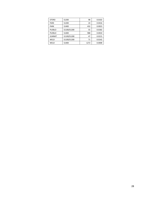| <b>OTERO</b>  | S1200       | 98   | 0.0102 |
|---------------|-------------|------|--------|
| <b>PARK</b>   | S1200       | 24   | 0.0416 |
| <b>PARK</b>   | S1400       | 432  | 0.0023 |
| PUEBLO        | S1100/S1200 | 55   | 0.0182 |
| <b>PUEBLO</b> | S1400       | 988  | 0.0010 |
| <b>SUMMIT</b> | S1100/S1200 | 47   | 0.0215 |
| WELD          | S1100/S1200 | 71   | 0.0142 |
| WELD          | S1400       | 1272 | 0.0008 |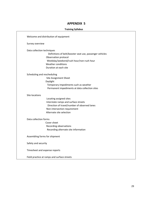Welcome and distribution of equipment Survey overview Data collection techniques Definitions of belt/booster seat use, passenger vehicles Observation protocol Weekday/weekend/rush hour/non-rush hour Weather conditions Duration at each site Scheduling and rescheduling Site Assignment Sheet Daylight Temporary impediments such as weather Permanent impediments at data collection sites Site locations Locating assigned sites Interstate ramps and surface streets Direction of travel/number of observed lanes Non-intersection requirement Alternate site selection Data collection forms Cover sheet Recording observations Recording alternate site information Assembling forms for shipment Safety and security Timesheet and expense reports Field practice at ramps and surface streets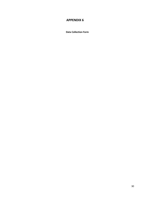**Data Collection Form**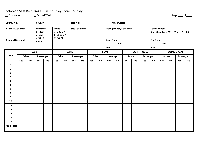### colorado Seat Belt Usage - Field Survey Form - Survey: \_\_\_\_\_\_\_\_\_\_\_\_\_\_\_\_\_\_\_\_\_\_\_\_\_\_

**\_\_ First Week \_\_ Second Week Page \_\_\_\_ of \_\_\_\_**

| County No.:                                                              |     |               | County:     |    |                                                                       |               | Observer(s):<br><b>Site No:</b> |    |     |               |                        |                                    |     |               |                     |                                                |     |               |                   |    |
|--------------------------------------------------------------------------|-----|---------------|-------------|----|-----------------------------------------------------------------------|---------------|---------------------------------|----|-----|---------------|------------------------|------------------------------------|-----|---------------|---------------------|------------------------------------------------|-----|---------------|-------------------|----|
| # Lanes Available:<br>Weather<br>$1 =$ clear<br>$2 = rain$<br>$3 =$ snow |     |               |             |    | <b>Speed</b><br>$1 = 0 - 30$ MPH<br>$2 = 31 - 50$ MPH<br>$3 = 50$ MPH |               | <b>Site Location:</b>           |    |     |               | Date (Month/Day/Year): |                                    |     |               |                     | Day of Week:<br>Sun Mon Tues Wed Thurs Fri Sat |     |               |                   |    |
| # Lanes Observed:                                                        |     |               | $4 = fog$   |    |                                                                       |               |                                 |    |     |               |                        | <b>Start Time:</b><br>a.m.<br>p.m. |     |               |                     | <b>End Time:</b><br>a.m.<br>p.m.               |     |               |                   |    |
|                                                                          |     |               | <b>CARS</b> |    |                                                                       |               | <b>VANS</b>                     |    |     |               | <b>SUVs</b>            |                                    |     |               | <b>LIGHT TRUCKS</b> |                                                |     |               | <b>COMMERCIAL</b> |    |
| Line #                                                                   |     | <b>Driver</b> | Passenger   |    |                                                                       | <b>Driver</b> | Passenger                       |    |     | <b>Driver</b> |                        | Passenger                          |     | <b>Driver</b> | Passenger           |                                                |     | <b>Driver</b> | Passenger         |    |
|                                                                          | Yes | <b>No</b>     | Yes         | No | Yes                                                                   | <b>No</b>     | Yes                             | No | Yes | <b>No</b>     | Yes                    | <b>No</b>                          | Yes | No            | Yes                 | <b>No</b>                                      | Yes | <b>No</b>     | Yes               | No |
| 1                                                                        |     |               |             |    |                                                                       |               |                                 |    |     |               |                        |                                    |     |               |                     |                                                |     |               |                   |    |
| $\overline{\mathbf{2}}$                                                  |     |               |             |    |                                                                       |               |                                 |    |     |               |                        |                                    |     |               |                     |                                                |     |               |                   |    |
| 3                                                                        |     |               |             |    |                                                                       |               |                                 |    |     |               |                        |                                    |     |               |                     |                                                |     |               |                   |    |
| $\overline{\mathbf{4}}$                                                  |     |               |             |    |                                                                       |               |                                 |    |     |               |                        |                                    |     |               |                     |                                                |     |               |                   |    |
| 5                                                                        |     |               |             |    |                                                                       |               |                                 |    |     |               |                        |                                    |     |               |                     |                                                |     |               |                   |    |
| 6                                                                        |     |               |             |    |                                                                       |               |                                 |    |     |               |                        |                                    |     |               |                     |                                                |     |               |                   |    |
| $\overline{\mathbf{z}}$                                                  |     |               |             |    |                                                                       |               |                                 |    |     |               |                        |                                    |     |               |                     |                                                |     |               |                   |    |
| 8                                                                        |     |               |             |    |                                                                       |               |                                 |    |     |               |                        |                                    |     |               |                     |                                                |     |               |                   |    |
| 9                                                                        |     |               |             |    |                                                                       |               |                                 |    |     |               |                        |                                    |     |               |                     |                                                |     |               |                   |    |
| 10                                                                       |     |               |             |    |                                                                       |               |                                 |    |     |               |                        |                                    |     |               |                     |                                                |     |               |                   |    |
| 11                                                                       |     |               |             |    |                                                                       |               |                                 |    |     |               |                        |                                    |     |               |                     |                                                |     |               |                   |    |
| 12                                                                       |     |               |             |    |                                                                       |               |                                 |    |     |               |                        |                                    |     |               |                     |                                                |     |               |                   |    |
| 13                                                                       |     |               |             |    |                                                                       |               |                                 |    |     |               |                        |                                    |     |               |                     |                                                |     |               |                   |    |
| 14                                                                       |     |               |             |    |                                                                       |               |                                 |    |     |               |                        |                                    |     |               |                     |                                                |     |               |                   |    |
| 15                                                                       |     |               |             |    |                                                                       |               |                                 |    |     |               |                        |                                    |     |               |                     |                                                |     |               |                   |    |
| <b>Page Total</b>                                                        |     |               |             |    |                                                                       |               |                                 |    |     |               |                        |                                    |     |               |                     |                                                |     |               |                   |    |